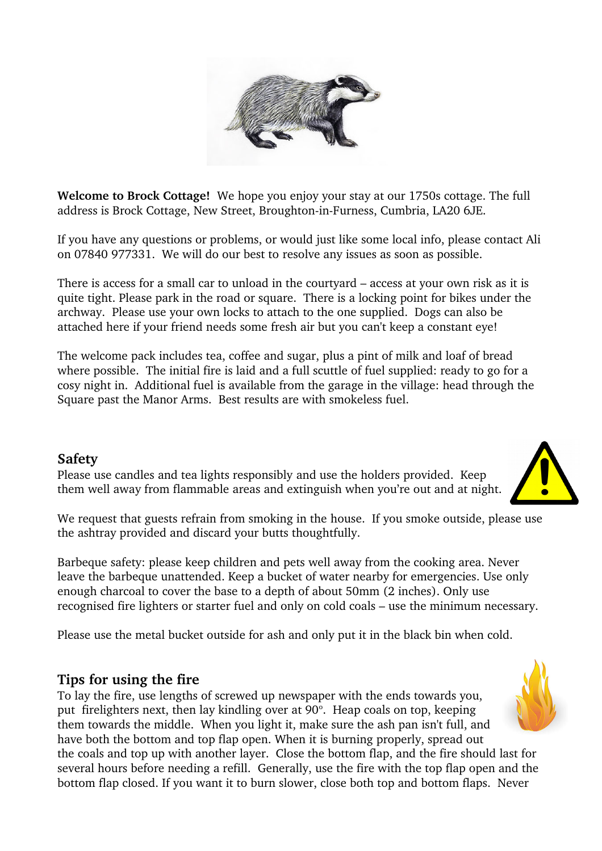

**Welcome to Brock Cottage!** We hope you enjoy your stay at our 1750s cottage. The full address is Brock Cottage, New Street, Broughton-in-Furness, Cumbria, LA20 6JE.

If you have any questions or problems, or would just like some local info, please contact Ali on 07840 977331. We will do our best to resolve any issues as soon as possible.

There is access for a small car to unload in the courtyard – access at your own risk as it is quite tight. Please park in the road or square. There is a locking point for bikes under the archway. Please use your own locks to attach to the one supplied. Dogs can also be attached here if your friend needs some fresh air but you can't keep a constant eye!

The welcome pack includes tea, coffee and sugar, plus a pint of milk and loaf of bread where possible. The initial fire is laid and a full scuttle of fuel supplied: ready to go for a cosy night in. Additional fuel is available from the garage in the village: head through the Square past the Manor Arms. Best results are with smokeless fuel.

#### **Safety**

Please use candles and tea lights responsibly and use the holders provided. Keep them well away from flammable areas and extinguish when you're out and at night.

We request that guests refrain from smoking in the house. If you smoke outside, please use the ashtray provided and discard your butts thoughtfully.

Barbeque safety: please keep children and pets well away from the cooking area. Never leave the barbeque unattended. Keep a bucket of water nearby for emergencies. Use only enough charcoal to cover the base to a depth of about 50mm (2 inches). Only use recognised fire lighters or starter fuel and only on cold coals – use the minimum necessary.

Please use the metal bucket outside for ash and only put it in the black bin when cold.

## **Tips for using the fire**

To lay the fire, use lengths of screwed up newspaper with the ends towards you, put firelighters next, then lay kindling over at 90°. Heap coals on top, keeping them towards the middle. When you light it, make sure the ash pan isn't full, and have both the bottom and top flap open. When it is burning properly, spread out the coals and top up with another layer. Close the bottom flap, and the fire should last for several hours before needing a refill. Generally, use the fire with the top flap open and the bottom flap closed. If you want it to burn slower, close both top and bottom flaps. Never



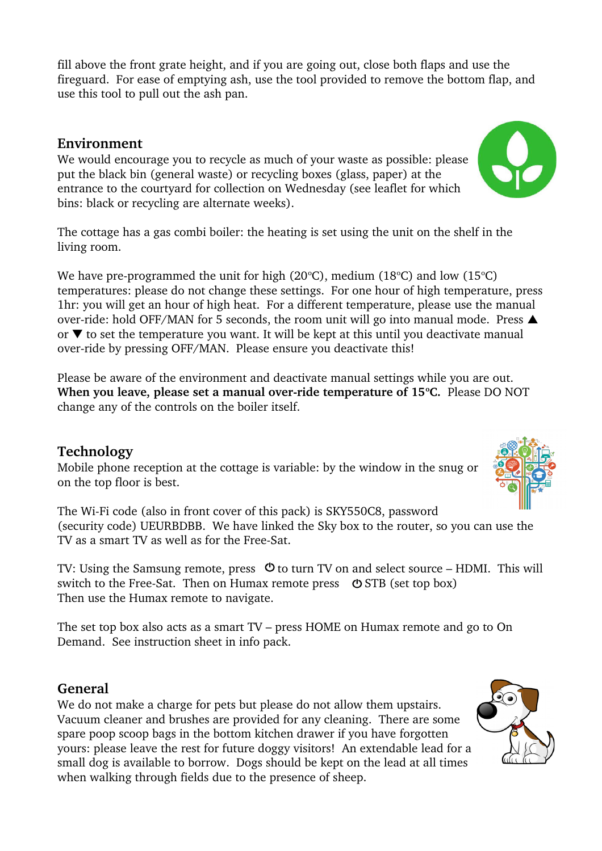fill above the front grate height, and if you are going out, close both flaps and use the fireguard. For ease of emptying ash, use the tool provided to remove the bottom flap, and use this tool to pull out the ash pan.

### **Environment**

We would encourage you to recycle as much of your waste as possible: please put the black bin (general waste) or recycling boxes (glass, paper) at the entrance to the courtyard for collection on Wednesday (see leaflet for which bins: black or recycling are alternate weeks).

The cottage has a gas combi boiler: the heating is set using the unit on the shelf in the living room.

We have pre-programmed the unit for high (20 $^{\circ}$ C), medium (18 $^{\circ}$ C) and low (15 $^{\circ}$ C) temperatures: please do not change these settings. For one hour of high temperature, press 1hr: you will get an hour of high heat. For a different temperature, please use the manual over-ride: hold OFF/MAN for 5 seconds, the room unit will go into manual mode. Press  $\triangle$ or  $\blacktriangledown$  to set the temperature you want. It will be kept at this until you deactivate manual over-ride by pressing OFF/MAN. Please ensure you deactivate this!

Please be aware of the environment and deactivate manual settings while you are out. **When you leave, please set a manual over-ride temperature of 15°C.** Please DO NOT change any of the controls on the boiler itself.

#### **Technology**

Mobile phone reception at the cottage is variable: by the window in the snug or on the top floor is best.

The Wi-Fi code (also in front cover of this pack) is SKY550C8, password (security code) UEURBDBB. We have linked the Sky box to the router, so you can use the TV as a smart TV as well as for the Free-Sat.

TV: Using the Samsung remote, press  $\circledcirc$  to turn TV on and select source – HDMI. This will switch to the Free-Sat. Then on Humax remote press  $\circ$  STB (set top box) Then use the Humax remote to navigate.

The set top box also acts as a smart TV – press HOME on Humax remote and go to On Demand. See instruction sheet in info pack.

## **General**

We do not make a charge for pets but please do not allow them upstairs. Vacuum cleaner and brushes are provided for any cleaning. There are some spare poop scoop bags in the bottom kitchen drawer if you have forgotten yours: please leave the rest for future doggy visitors! An extendable lead for a small dog is available to borrow. Dogs should be kept on the lead at all times when walking through fields due to the presence of sheep.





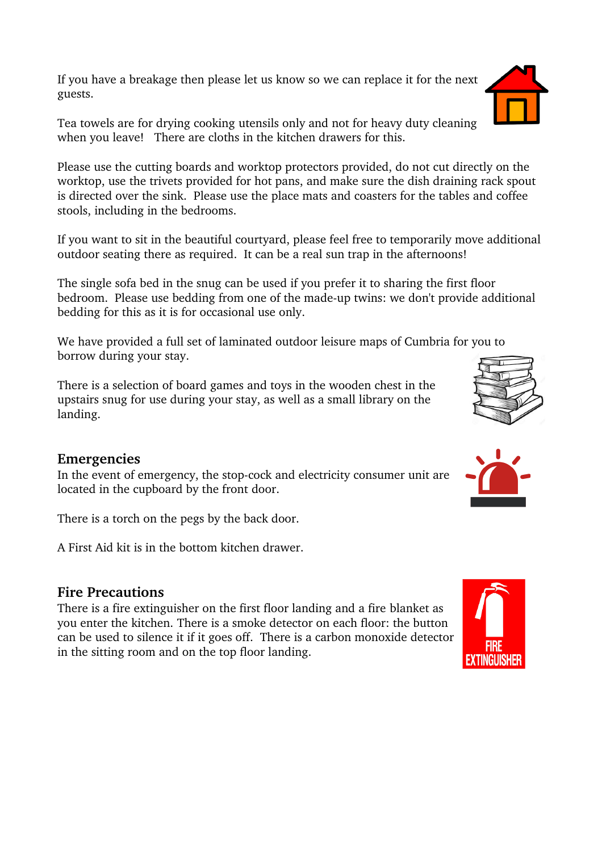If you have a breakage then please let us know so we can replace it for the next guests.

Tea towels are for drying cooking utensils only and not for heavy duty cleaning when you leave! There are cloths in the kitchen drawers for this.

Please use the cutting boards and worktop protectors provided, do not cut directly on the worktop, use the trivets provided for hot pans, and make sure the dish draining rack spout is directed over the sink. Please use the place mats and coasters for the tables and coffee stools, including in the bedrooms.

If you want to sit in the beautiful courtyard, please feel free to temporarily move additional outdoor seating there as required. It can be a real sun trap in the afternoons!

The single sofa bed in the snug can be used if you prefer it to sharing the first floor bedroom. Please use bedding from one of the made-up twins: we don't provide additional bedding for this as it is for occasional use only.

We have provided a full set of laminated outdoor leisure maps of Cumbria for you to borrow during your stay.

There is a selection of board games and toys in the wooden chest in the upstairs snug for use during your stay, as well as a small library on the landing.

#### **Emergencies**

In the event of emergency, the stop-cock and electricity consumer unit are located in the cupboard by the front door.

There is a torch on the pegs by the back door.

A First Aid kit is in the bottom kitchen drawer.

#### **Fire Precautions**

There is a fire extinguisher on the first floor landing and a fire blanket as you enter the kitchen. There is a smoke detector on each floor: the button can be used to silence it if it goes off. There is a carbon monoxide detector in the sitting room and on the top floor landing.







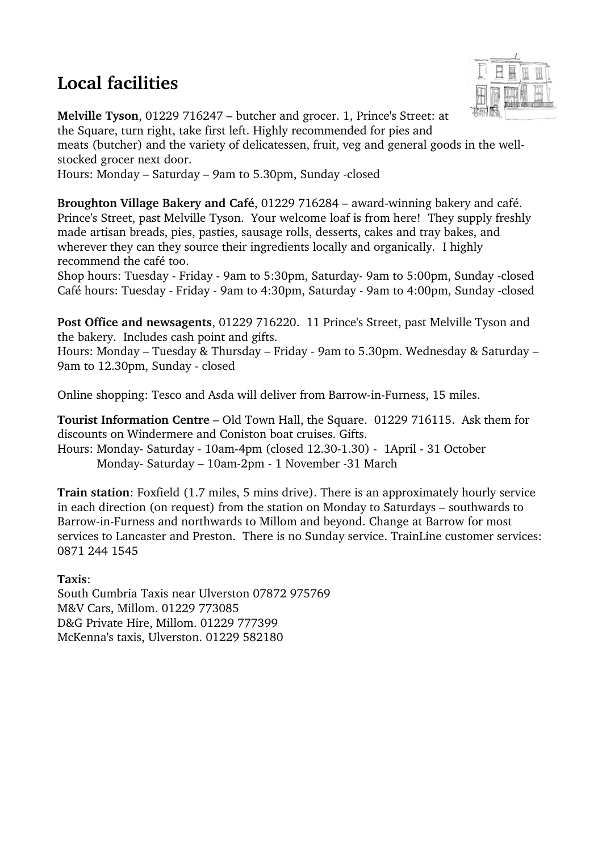# **Local facilities**



**Melville Tyson**, 01229 716247 – butcher and grocer. 1, Prince's Street: at the Square, turn right, take first left. Highly recommended for pies and meats (butcher) and the variety of delicatessen, fruit, veg and general goods in the wellstocked grocer next door. Hours: Monday – Saturday – 9am to 5.30pm, Sunday closed

**Broughton Village Bakery and Café**, 01229 716284 – award-winning bakery and café. Prince's Street, past Melville Tyson. Your welcome loaf is from here! They supply freshly made artisan breads, pies, pasties, sausage rolls, desserts, cakes and tray bakes, and wherever they can they source their ingredients locally and organically. I highly recommend the café too.

Shop hours: Tuesday - Friday - 9am to 5:30pm, Saturday-9am to 5:00pm, Sunday -closed Café hours: Tuesday - Friday - 9am to 4:30pm, Saturday - 9am to 4:00pm, Sunday -closed

**Post Office and newsagents**, 01229 716220. 11 Prince's Street, past Melville Tyson and the bakery. Includes cash point and gifts.

Hours: Monday – Tuesday & Thursday – Friday - 9am to 5.30pm. Wednesday & Saturday – 9am to 12.30pm, Sunday - closed

Online shopping: Tesco and Asda will deliver from Barrow-in-Furness, 15 miles.

**Tourist Information Centre** – Old Town Hall, the Square. 01229 716115. Ask them for discounts on Windermere and Coniston boat cruises. Gifts.

Hours: Monday- Saturday - 10am-4pm (closed 12.30-1.30) - 1April - 31 October Monday- Saturday – 10am-2pm - 1 November -31 March

**Train station**: Foxfield (1.7 miles, 5 mins drive). There is an approximately hourly service in each direction (on request) from the station on Monday to Saturdays – southwards to Barrow-in-Furness and northwards to Millom and beyond. Change at Barrow for most services to Lancaster and Preston. There is no Sunday service. TrainLine customer services: 0871 244 1545

#### **Taxis**:

South Cumbria Taxis near Ulverston 07872 975769 M&V Cars, Millom. 01229 773085 D&G Private Hire, Millom. 01229 777399 McKenna's taxis, Ulverston. 01229 582180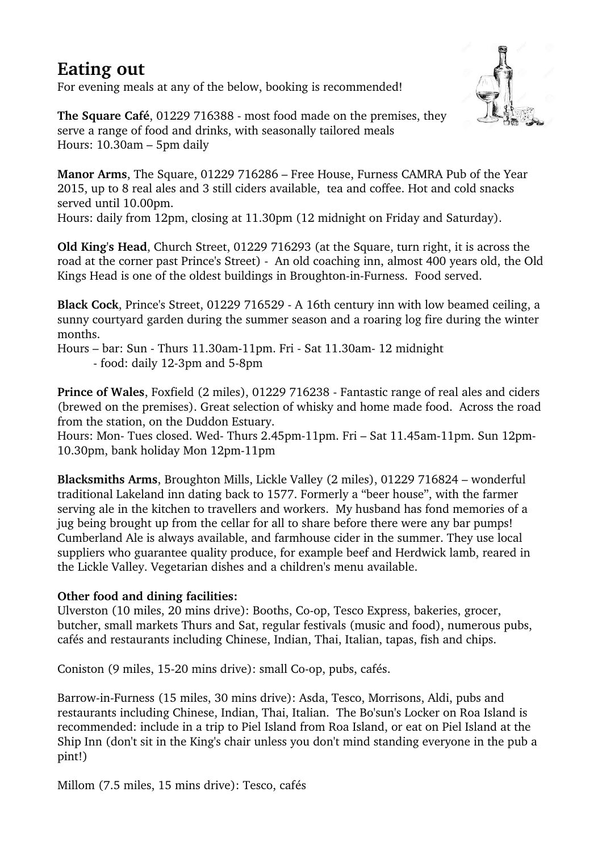## **Eating out**

For evening meals at any of the below, booking is recommended!



**The Square Café**, 01229 716388 - most food made on the premises, they serve a range of food and drinks, with seasonally tailored meals Hours: 10.30am – 5pm daily

**Manor Arms**, The Square, 01229 716286 – Free House, Furness CAMRA Pub of the Year 2015, up to 8 real ales and 3 still ciders available, tea and coffee. Hot and cold snacks served until 10.00pm.

Hours: daily from 12pm, closing at 11.30pm (12 midnight on Friday and Saturday).

**Old King's Head**, Church Street, 01229 716293 (at the Square, turn right, it is across the road at the corner past Prince's Street) An old coaching inn, almost 400 years old, the Old Kings Head is one of the oldest buildings in Broughton-in-Furness. Food served.

**Black Cock**, Prince's Street, 01229 716529 A 16th century inn with low beamed ceiling, a sunny courtyard garden during the summer season and a roaring log fire during the winter months.

Hours – bar: Sun - Thurs 11.30am-11pm. Fri - Sat 11.30am- 12 midnight

- food: daily 12-3pm and 5-8pm

**Prince of Wales**, Foxfield (2 miles), 01229 716238 Fantastic range of real ales and ciders (brewed on the premises). Great selection of whisky and home made food. Across the road from the station, on the Duddon Estuary.

Hours: Mon- Tues closed. Wed- Thurs 2.45pm-11pm. Fri – Sat 11.45am-11pm. Sun 12pm-10.30pm, bank holiday Mon 12pm-11pm

**Blacksmiths Arms**, Broughton Mills, Lickle Valley (2 miles), 01229 716824 – wonderful traditional Lakeland inn dating back to 1577. Formerly a "beer house", with the farmer serving ale in the kitchen to travellers and workers. My husband has fond memories of a jug being brought up from the cellar for all to share before there were any bar pumps! Cumberland Ale is always available, and farmhouse cider in the summer. They use local suppliers who guarantee quality produce, for example beef and Herdwick lamb, reared in the Lickle Valley. Vegetarian dishes and a children's menu available.

#### **Other food and dining facilities:**

Ulverston (10 miles, 20 mins drive): Booths, Co-op, Tesco Express, bakeries, grocer, butcher, small markets Thurs and Sat, regular festivals (music and food), numerous pubs, cafés and restaurants including Chinese, Indian, Thai, Italian, tapas, fish and chips.

Coniston (9 miles, 15-20 mins drive): small Co-op, pubs, cafés.

Barrow-in-Furness (15 miles, 30 mins drive): Asda, Tesco, Morrisons, Aldi, pubs and restaurants including Chinese, Indian, Thai, Italian. The Bo'sun's Locker on Roa Island is recommended: include in a trip to Piel Island from Roa Island, or eat on Piel Island at the Ship Inn (don't sit in the King's chair unless you don't mind standing everyone in the pub a pint!)

Millom (7.5 miles, 15 mins drive): Tesco, cafés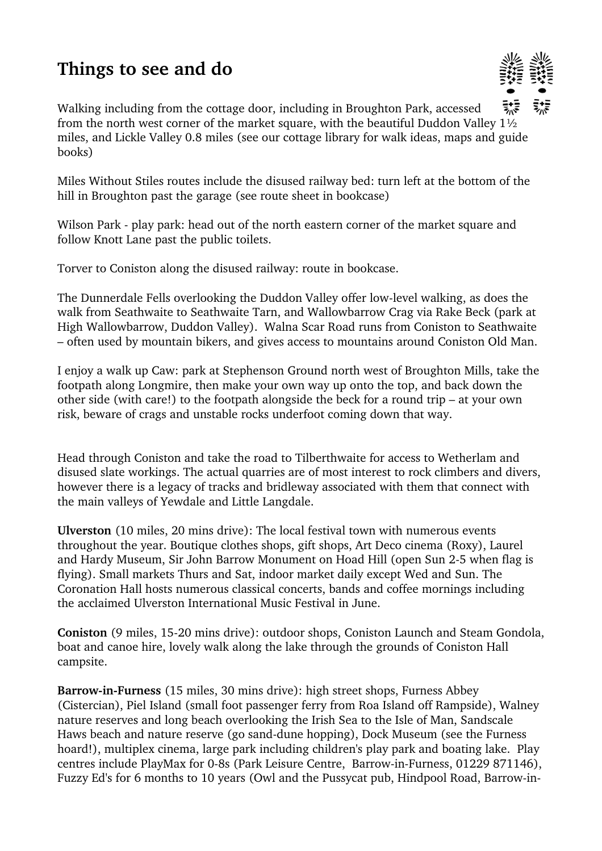# **Things to see and do**



Walking including from the cottage door, including in Broughton Park, accessed from the north west corner of the market square, with the beautiful Duddon Valley 1½ miles, and Lickle Valley 0.8 miles (see our cottage library for walk ideas, maps and guide books)

Miles Without Stiles routes include the disused railway bed: turn left at the bottom of the hill in Broughton past the garage (see route sheet in bookcase)

Wilson Park - play park: head out of the north eastern corner of the market square and follow Knott Lane past the public toilets.

Torver to Coniston along the disused railway: route in bookcase.

The Dunnerdale Fells overlooking the Duddon Valley offer low-level walking, as does the walk from Seathwaite to Seathwaite Tarn, and Wallowbarrow Crag via Rake Beck (park at High Wallowbarrow, Duddon Valley). Walna Scar Road runs from Coniston to Seathwaite – often used by mountain bikers, and gives access to mountains around Coniston Old Man.

I enjoy a walk up Caw: park at Stephenson Ground north west of Broughton Mills, take the footpath along Longmire, then make your own way up onto the top, and back down the other side (with care!) to the footpath alongside the beck for a round trip – at your own risk, beware of crags and unstable rocks underfoot coming down that way.

Head through Coniston and take the road to Tilberthwaite for access to Wetherlam and disused slate workings. The actual quarries are of most interest to rock climbers and divers, however there is a legacy of tracks and bridleway associated with them that connect with the main valleys of Yewdale and Little Langdale.

**Ulverston** (10 miles, 20 mins drive): The local festival town with numerous events throughout the year. Boutique clothes shops, gift shops, Art Deco cinema (Roxy), Laurel and Hardy Museum, Sir John Barrow Monument on Hoad Hill (open Sun 25 when flag is flying). Small markets Thurs and Sat, indoor market daily except Wed and Sun. The Coronation Hall hosts numerous classical concerts, bands and coffee mornings including the acclaimed Ulverston International Music Festival in June.

**Coniston** (9 miles, 15-20 mins drive): outdoor shops, Coniston Launch and Steam Gondola, boat and canoe hire, lovely walk along the lake through the grounds of Coniston Hall campsite.

**Barrow-in-Furness** (15 miles, 30 mins drive): high street shops, Furness Abbey (Cistercian), Piel Island (small foot passenger ferry from Roa Island off Rampside), Walney nature reserves and long beach overlooking the Irish Sea to the Isle of Man, Sandscale Haws beach and nature reserve (go sand-dune hopping), Dock Museum (see the Furness hoard!), multiplex cinema, large park including children's play park and boating lake. Play centres include PlayMax for 0-8s (Park Leisure Centre, Barrow-in-Furness, 01229 871146), Fuzzy Ed's for 6 months to 10 years (Owl and the Pussycat pub, Hindpool Road, Barrow-in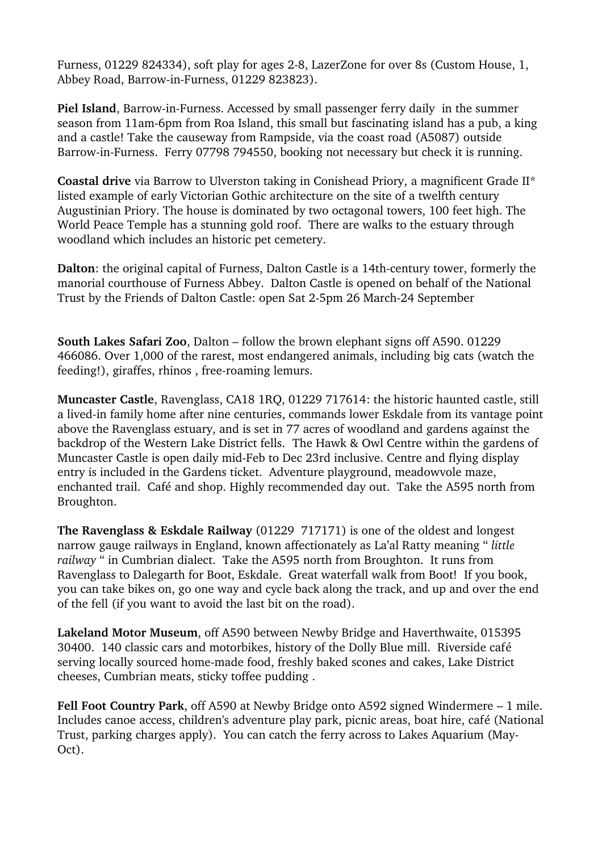Furness, 01229 824334), soft play for ages 2-8, LazerZone for over 8s (Custom House, 1, Abbey Road, Barrow-in-Furness, 01229 823823).

**Piel Island**, Barrow-in-Furness. Accessed by small passenger ferry daily in the summer season from 11am-6pm from Roa Island, this small but fascinating island has a pub, a king and a castle! Take the causeway from Rampside, via the coast road (A5087) outside Barrow-in-Furness. Ferry 07798 794550, booking not necessary but check it is running.

**Coastal drive** via Barrow to Ulverston taking in Conishead Priory, a magnificent Grade II\* listed example of early Victorian Gothic architecture on the site of a twelfth century Augustinian Priory. The house is dominated by two octagonal towers, 100 feet high. The World Peace Temple has a stunning gold roof. There are walks to the estuary through woodland which includes an historic pet cemetery.

**Dalton**: the original capital of Furness, Dalton Castle is a 14th-century tower, formerly the manorial courthouse of Furness Abbey. Dalton Castle is opened on behalf of the National Trust by the Friends of Dalton Castle: open Sat 2-5pm 26 March-24 September

**South Lakes Safari Zoo**, Dalton – follow the brown elephant signs off A590. 01229 466086. Over 1,000 of the rarest, most endangered animals, including big cats (watch the feeding!), giraffes, rhinos, free-roaming lemurs.

**Muncaster Castle**, Ravenglass, CA18 1RQ, 01229 717614: the historic haunted castle, still a lived-in family home after nine centuries, commands lower Eskdale from its vantage point above the Ravenglass estuary, and is set in 77 acres of woodland and gardens against the backdrop of the Western Lake District fells. The Hawk & Owl Centre within the gardens of Muncaster Castle is open daily mid-Feb to Dec 23rd inclusive. Centre and flying display entry is included in the Gardens ticket. Adventure playground, meadowvole maze, enchanted trail. Café and shop. Highly recommended day out. Take the A595 north from Broughton.

**The Ravenglass & Eskdale Railway** (01229 717171) is one of the oldest and longest narrow gauge railways in England, known affectionately as La'al Ratty meaning " *little railway* " in Cumbrian dialect. Take the A595 north from Broughton. It runs from Ravenglass to Dalegarth for Boot, Eskdale. Great waterfall walk from Boot! If you book, you can take bikes on, go one way and cycle back along the track, and up and over the end of the fell (if you want to avoid the last bit on the road).

**Lakeland Motor Museum**, off A590 between Newby Bridge and Haverthwaite, 015395 30400. 140 classic cars and motorbikes, history of the Dolly Blue mill. Riverside café serving locally sourced home-made food, freshly baked scones and cakes, Lake District cheeses, Cumbrian meats, sticky toffee pudding .

**Fell Foot Country Park**, off A590 at Newby Bridge onto A592 signed Windermere – 1 mile. Includes canoe access, children's adventure play park, picnic areas, boat hire, café (National Trust, parking charges apply). You can catch the ferry across to Lakes Aquarium (May-Oct).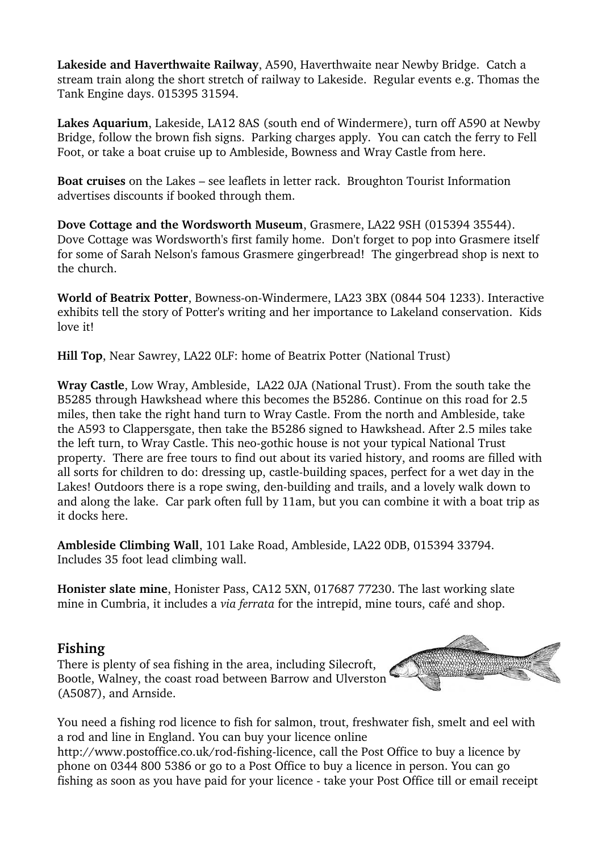**Lakeside and Haverthwaite Railway**, A590, Haverthwaite near Newby Bridge. Catch a stream train along the short stretch of railway to Lakeside. Regular events e.g. Thomas the Tank Engine days. 015395 31594.

**Lakes Aquarium**, Lakeside, LA12 8AS (south end of Windermere), turn off A590 at Newby Bridge, follow the brown fish signs. Parking charges apply. You can catch the ferry to Fell Foot, or take a boat cruise up to Ambleside, Bowness and Wray Castle from here.

**Boat cruises** on the Lakes – see leaflets in letter rack. Broughton Tourist Information advertises discounts if booked through them.

**Dove Cottage and the Wordsworth Museum**, Grasmere, LA22 9SH (015394 35544). Dove Cottage was Wordsworth's first family home. Don't forget to pop into Grasmere itself for some of Sarah Nelson's famous Grasmere gingerbread! The gingerbread shop is next to the church.

**World of Beatrix Potter**, Bowness-on-Windermere, LA23 3BX (0844 504 1233). Interactive exhibits tell the story of Potter's writing and her importance to Lakeland conservation. Kids love it!

**Hill Top**, Near Sawrey, LA22 0LF: home of Beatrix Potter (National Trust)

**Wray Castle**, Low Wray, Ambleside, LA22 0JA (National Trust). From the south take the B5285 through Hawkshead where this becomes the B5286. Continue on this road for 2.5 miles, then take the right hand turn to Wray Castle. From the north and Ambleside, take the A593 to Clappersgate, then take the B5286 signed to Hawkshead. After 2.5 miles take the left turn, to Wray Castle. This neo-gothic house is not your typical National Trust property. There are free tours to find out about its varied history, and rooms are filled with all sorts for children to do: dressing up, castle-building spaces, perfect for a wet day in the Lakes! Outdoors there is a rope swing, den-building and trails, and a lovely walk down to and along the lake. Car park often full by 11am, but you can combine it with a boat trip as it docks here.

**Ambleside Climbing Wall**, 101 Lake Road, Ambleside, LA22 0DB, 015394 33794. Includes 35 foot lead climbing wall.

**Honister slate mine**, Honister Pass, CA12 5XN, 017687 77230. The last working slate mine in Cumbria, it includes a *via ferrata* for the intrepid, mine tours, café and shop.

#### **Fishing**

There is plenty of sea fishing in the area, including Silecroft, Bootle, Walney, the coast road between Barrow and Ulverston (A5087), and Arnside.



You need a fishing rod licence to fish for salmon, trout, freshwater fish, smelt and eel with a rod and line in England. You can buy your licence online

http://www.postoffice.co.uk/rod-fishing-licence, call the Post Office to buy a licence by phone on 0344 800 5386 or go to a Post Office to buy a licence in person. You can go fishing as soon as you have paid for your licence take your Post Office till or email receipt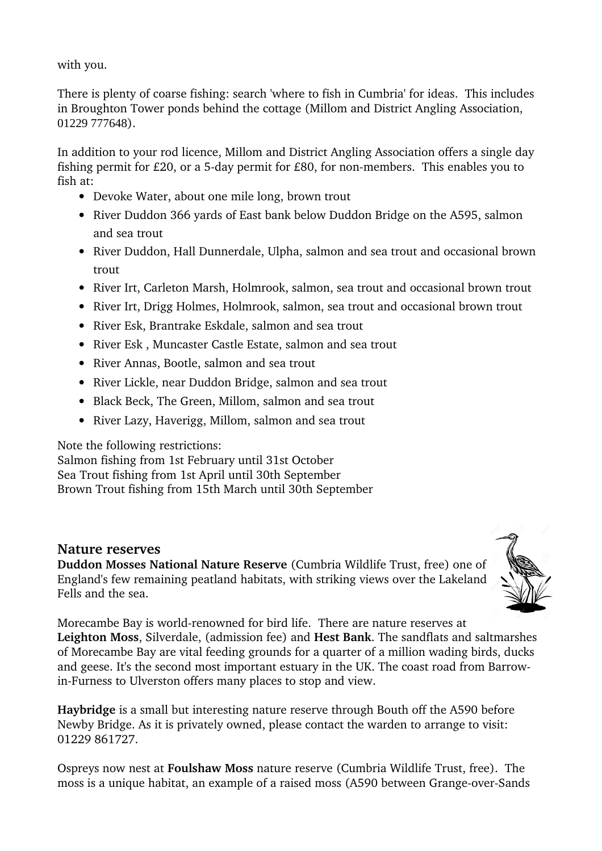with you.

There is plenty of coarse fishing: search 'where to fish in Cumbria' for ideas. This includes in Broughton Tower ponds behind the cottage (Millom and District Angling Association, 01229 777648).

In addition to your rod licence, Millom and District Angling Association offers a single day fishing permit for  $E20$ , or a 5-day permit for  $E80$ , for non-members. This enables you to fish at:

- Devoke Water, about one mile long, brown trout
- River Duddon 366 yards of East bank below Duddon Bridge on the A595, salmon and sea trout
- River Duddon, Hall Dunnerdale, Ulpha, salmon and sea trout and occasional brown trout
- River Irt, Carleton Marsh, Holmrook, salmon, sea trout and occasional brown trout
- River Irt, Drigg Holmes, Holmrook, salmon, sea trout and occasional brown trout
- River Esk, Brantrake Eskdale, salmon and sea trout
- River Esk, Muncaster Castle Estate, salmon and sea trout
- River Annas, Bootle, salmon and sea trout
- River Lickle, near Duddon Bridge, salmon and sea trout
- Black Beck, The Green, Millom, salmon and sea trout
- River Lazy, Haverigg, Millom, salmon and sea trout

Note the following restrictions:

Salmon fishing from 1st February until 31st October Sea Trout fishing from 1st April until 30th September Brown Trout fishing from 15th March until 30th September

#### **Nature reserves**

**Duddon Mosses National Nature Reserve** (Cumbria Wildlife Trust, free) one of England's few remaining peatland habitats, with striking views over the Lakeland Fells and the sea.



Morecambe Bay is world-renowned for bird life. There are nature reserves at **Leighton Moss**, Silverdale, (admission fee) and **Hest Bank**. The sandflats and saltmarshes of Morecambe Bay are vital feeding grounds for a quarter of a million wading birds, ducks and geese. It's the second most important estuary in the UK. The coast road from Barrowin-Furness to Ulverston offers many places to stop and view.

**Haybridge** is a small but interesting nature reserve through Bouth off the A590 before Newby Bridge. As it is privately owned, please contact the warden to arrange to visit: 01229 861727.

Ospreys now nest at **Foulshaw Moss** nature reserve (Cumbria Wildlife Trust, free). The moss is a unique habitat, an example of a raised moss (A590 between Grange-over-Sands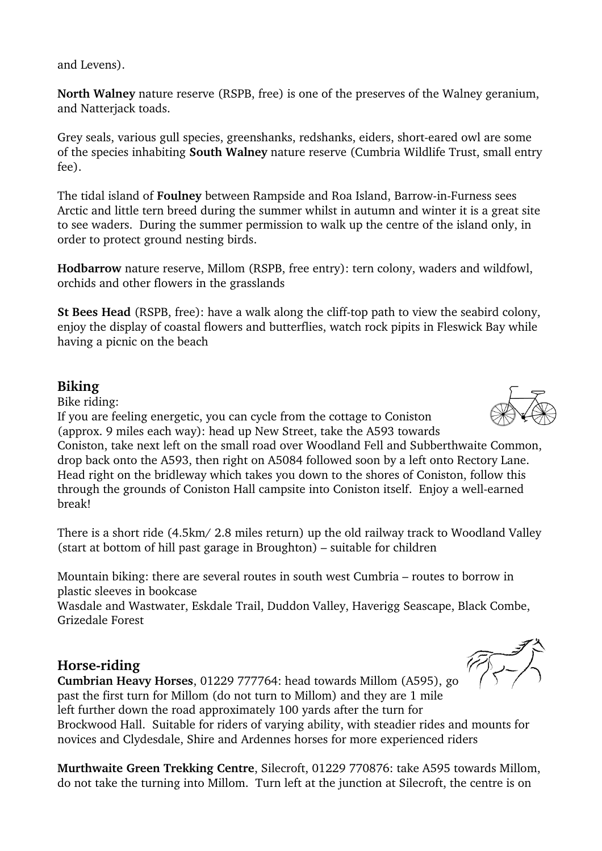and Levens).

**North Walney** nature reserve (RSPB, free) is one of the preserves of the Walney geranium, and Natterjack toads.

Grey seals, various gull species, greenshanks, redshanks, eiders, short-eared owl are some of the species inhabiting **South Walney** nature reserve (Cumbria Wildlife Trust, small entry fee).

The tidal island of **Foulney** between Rampside and Roa Island, Barrow-in-Furness sees Arctic and little tern breed during the summer whilst in autumn and winter it is a great site to see waders. During the summer permission to walk up the centre of the island only, in order to protect ground nesting birds.

**Hodbarrow** nature reserve, Millom (RSPB, free entry): tern colony, waders and wildfowl, orchids and other flowers in the grasslands

**St Bees Head** (RSPB, free): have a walk along the cliff-top path to view the seabird colony, enjoy the display of coastal flowers and butterflies, watch rock pipits in Fleswick Bay while having a picnic on the beach

### **Biking**

Bike riding:

If you are feeling energetic, you can cycle from the cottage to Coniston (approx. 9 miles each way): head up New Street, take the A593 towards

Coniston, take next left on the small road over Woodland Fell and Subberthwaite Common, drop back onto the A593, then right on A5084 followed soon by a left onto Rectory Lane. Head right on the bridleway which takes you down to the shores of Coniston, follow this through the grounds of Coniston Hall campsite into Coniston itself. Enjoy a well-earned break!

There is a short ride (4.5km/ 2.8 miles return) up the old railway track to Woodland Valley (start at bottom of hill past garage in Broughton) – suitable for children

Mountain biking: there are several routes in south west Cumbria – routes to borrow in plastic sleeves in bookcase

Wasdale and Wastwater, Eskdale Trail, Duddon Valley, Haverigg Seascape, Black Combe, Grizedale Forest

#### **Horse-riding**

**Cumbrian Heavy Horses**, 01229 777764: head towards Millom (A595), go past the first turn for Millom (do not turn to Millom) and they are 1 mile left further down the road approximately 100 yards after the turn for Brockwood Hall. Suitable for riders of varying ability, with steadier rides and mounts for novices and Clydesdale, Shire and Ardennes horses for more experienced riders

**Murthwaite Green Trekking Centre**, Silecroft, 01229 770876: take A595 towards Millom, do not take the turning into Millom. Turn left at the junction at Silecroft, the centre is on



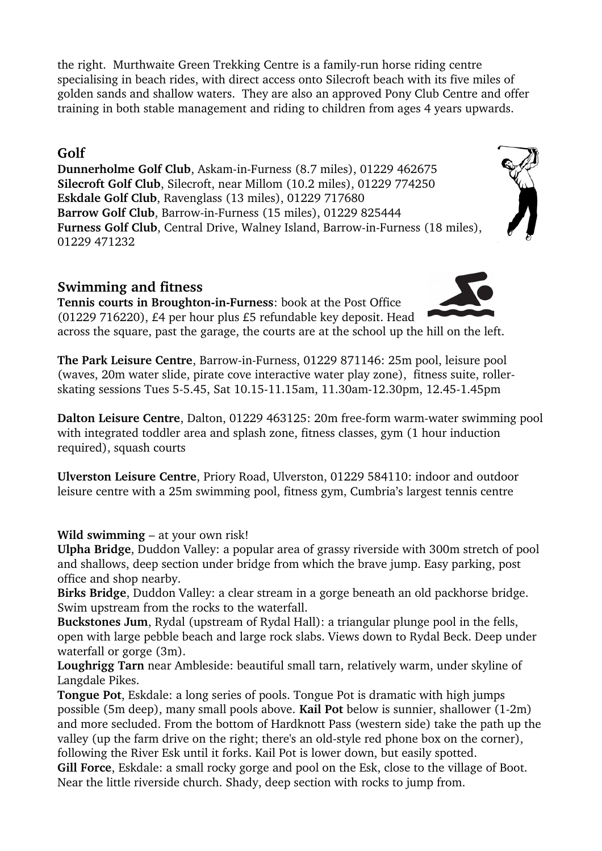the right. Murthwaite Green Trekking Centre is a family-run horse riding centre specialising in beach rides, with direct access onto Silecroft beach with its five miles of golden sands and shallow waters. They are also an approved Pony Club Centre and offer training in both stable management and riding to children from ages 4 years upwards.

### **Golf**

**Dunnerholme Golf Club**, Askam-in-Furness (8.7 miles), 01229 462675 **Silecroft Golf Club**, Silecroft, near Millom (10.2 miles), 01229 774250 **Eskdale Golf Club**, Ravenglass (13 miles), 01229 717680 Barrow Golf Club, Barrow-in-Furness (15 miles), 01229 825444 Furness Golf Club, Central Drive, Walney Island, Barrow-in-Furness (18 miles), 01229 471232

## **Swimming and fitness**

**Tennis courts in Broughton-in-Furness:** book at the Post Office (01229 716220), £4 per hour plus £5 refundable key deposit. Head across the square, past the garage, the courts are at the school up the hill on the left.

**The Park Leisure Centre**, Barrow-in-Furness, 01229 871146: 25m pool, leisure pool (waves, 20m water slide, pirate cove interactive water play zone), fitness suite, rollerskating sessions Tues 5-5.45, Sat 10.15-11.15am, 11.30am-12.30pm, 12.45-1.45pm

**Dalton Leisure Centre**, Dalton, 01229 463125: 20m free-form warm-water swimming pool with integrated toddler area and splash zone, fitness classes, gym (1 hour induction required), squash courts

**Ulverston Leisure Centre**, Priory Road, Ulverston, 01229 584110: indoor and outdoor leisure centre with a 25m swimming pool, fitness gym, Cumbria's largest tennis centre

**Wild swimming** – at your own risk!

**Ulpha Bridge**, Duddon Valley: a popular area of grassy riverside with 300m stretch of pool and shallows, deep section under bridge from which the brave jump. Easy parking, post office and shop nearby.

**Birks Bridge**, Duddon Valley: a clear stream in a gorge beneath an old packhorse bridge. Swim upstream from the rocks to the waterfall.

**Buckstones Jum**, Rydal (upstream of Rydal Hall): a triangular plunge pool in the fells, open with large pebble beach and large rock slabs. Views down to Rydal Beck. Deep under waterfall or gorge (3m).

**Loughrigg Tarn** near Ambleside: beautiful small tarn, relatively warm, under skyline of Langdale Pikes.

**Tongue Pot**, Eskdale: a long series of pools. Tongue Pot is dramatic with high jumps possible (5m deep), many small pools above. **Kail Pot** below is sunnier, shallower (12m) and more secluded. From the bottom of Hardknott Pass (western side) take the path up the valley (up the farm drive on the right; there's an old-style red phone box on the corner), following the River Esk until it forks. Kail Pot is lower down, but easily spotted.

**Gill Force**, Eskdale: a small rocky gorge and pool on the Esk, close to the village of Boot. Near the little riverside church. Shady, deep section with rocks to jump from.

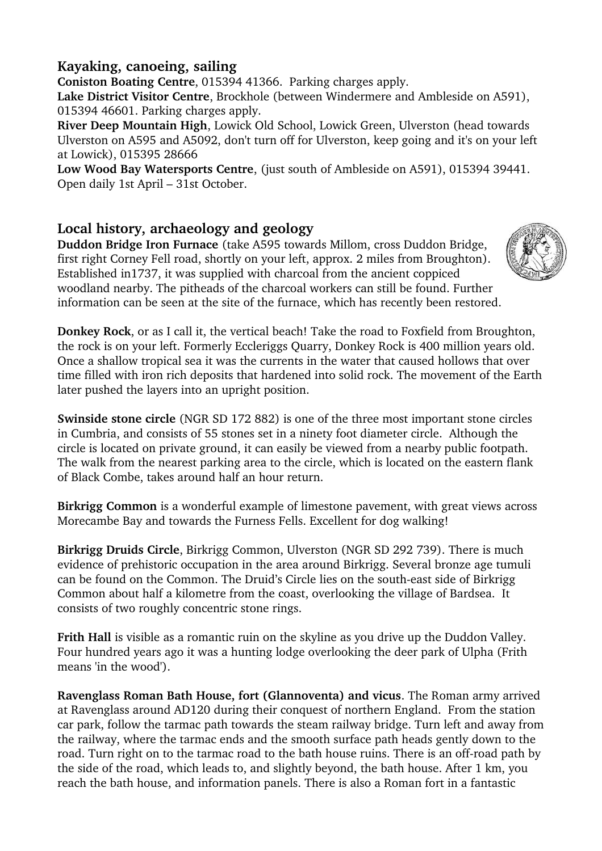## **Kayaking, canoeing, sailing**

**Coniston Boating Centre**, 015394 41366. Parking charges apply. **Lake District Visitor Centre**, Brockhole (between Windermere and Ambleside on A591), 015394 46601. Parking charges apply.

**River Deep Mountain High**, Lowick Old School, Lowick Green, Ulverston (head towards Ulverston on A595 and A5092, don't turn off for Ulverston, keep going and it's on your left at Lowick), 015395 28666

**Low Wood Bay Watersports Centre**, (just south of Ambleside on A591), 015394 39441. Open daily 1st April – 31st October.

## **Local history, archaeology and geology**

**Duddon Bridge Iron Furnace** (take A595 towards Millom, cross Duddon Bridge, first right Corney Fell road, shortly on your left, approx. 2 miles from Broughton). Established in1737, it was supplied with charcoal from the ancient coppiced woodland nearby. The pitheads of the charcoal workers can still be found. Further information can be seen at the site of the furnace, which has recently been restored.



**Donkey Rock**, or as I call it, the vertical beach! Take the road to Foxfield from Broughton, the rock is on your left. Formerly Eccleriggs Quarry, Donkey Rock is 400 million years old. Once a shallow tropical sea it was the currents in the water that caused hollows that over time filled with iron rich deposits that hardened into solid rock. The movement of the Earth later pushed the layers into an upright position.

**Swinside stone circle** (NGR SD 172 882) is one of the three most important stone circles in Cumbria, and consists of 55 stones set in a ninety foot diameter circle. Although the circle is located on private ground, it can easily be viewed from a nearby public footpath. The walk from the nearest parking area to the circle, which is located on the eastern flank of Black Combe, takes around half an hour return.

**Birkrigg Common** is a wonderful example of limestone pavement, with great views across Morecambe Bay and towards the Furness Fells. Excellent for dog walking!

**Birkrigg Druids Circle**, Birkrigg Common, Ulverston (NGR SD 292 739). There is much evidence of prehistoric occupation in the area around Birkrigg. Several bronze age tumuli can be found on the Common. The Druid's Circle lies on the southeast side of Birkrigg Common about half a kilometre from the coast, overlooking the village of Bardsea. It consists of two roughly concentric stone rings.

**Frith Hall** is visible as a romantic ruin on the skyline as you drive up the Duddon Valley. Four hundred years ago it was a hunting lodge overlooking the deer park of Ulpha (Frith means 'in the wood').

**Ravenglass Roman Bath House, fort (Glannoventa) and vicus**. The Roman army arrived at Ravenglass around AD120 during their conquest of northern England. From the station car park, follow the tarmac path towards the steam railway bridge. Turn left and away from the railway, where the tarmac ends and the smooth surface path heads gently down to the road. Turn right on to the tarmac road to the bath house ruins. There is an off-road path by the side of the road, which leads to, and slightly beyond, the bath house. After 1 km, you reach the bath house, and information panels. There is also a Roman fort in a fantastic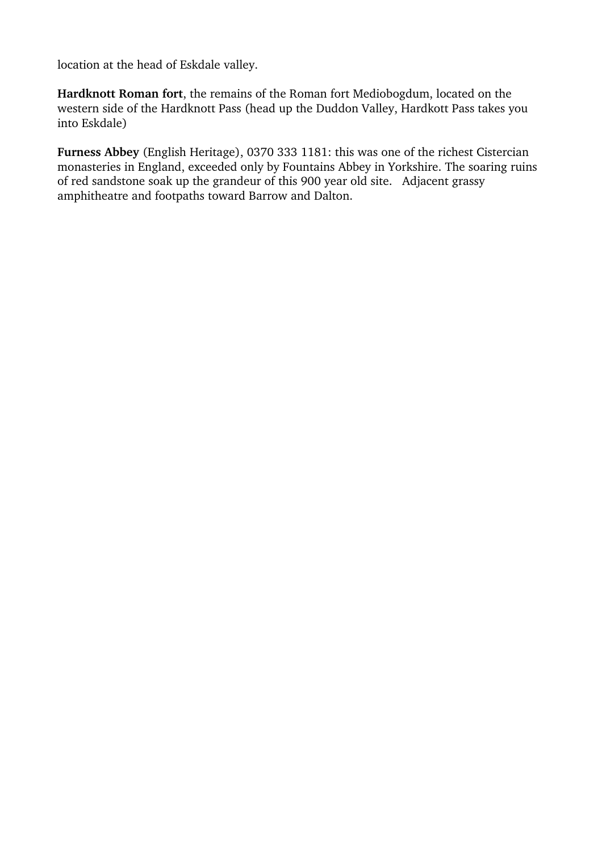location at the head of Eskdale valley.

**Hardknott Roman fort**, the remains of the Roman fort Mediobogdum, located on the western side of the Hardknott Pass (head up the Duddon Valley, Hardkott Pass takes you into Eskdale)

**Furness Abbey** (English Heritage), 0370 333 1181: this was one of the richest Cistercian monasteries in England, exceeded only by Fountains Abbey in Yorkshire. The soaring ruins of red sandstone soak up the grandeur of this 900 year old site. Adjacent grassy amphitheatre and footpaths toward Barrow and Dalton.